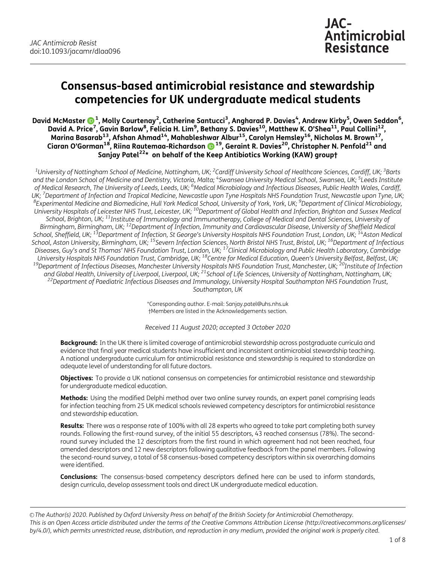# Consensus-based antimicrobial resistance and stewardship competencies for UK undergraduate medical students

David McMaster ��� 1, Molly Courtenay<sup>2</sup>, Catherine Santucci<sup>3</sup>, Angharad P. Davies<sup>4</sup>, Andrew Kirby<sup>5</sup>, Owen Seddon<sup>6</sup>, David A. Price<sup>[7](http://orcid.org/0000-0003-1900-8785)</sup>, Gavin Barlow<sup>8</sup>, Felicia H. Lim<sup>9</sup>, Bethany S. Davies<sup>10</sup>, Matthew K. O'Shea<sup>11</sup>, Paul Collini<sup>12</sup>, Marina Basarab $^{13}$ , Afshan Ahmad $^{14}$ , Mahableshwar Albur $^{15}$ , Carolyn Hemsley $^{16}$ , Nicholas M. Brown $^{17}$ , Ciaran O'Gorman $^{18}$ , Riina Rautemaa-Richardson  $\bigcirc$   $^{19}$ , Geraint R. Davies $^{20}$ , Christopher N. Penfold $^{21}$  and Sanjay Patel<sup>22\*</sup> on behalf of the Keep Antibiotics Working (KAW) groupt

 $^{\rm 1}$ University of Nottingham School of Medicine, Nottingham, UK; <sup>2</sup>Cardiff University School of Healthcare Sciences, Cardiff, UK; <sup>3</sup>Barts and the London School of Medicine and Dentistry, Victoria, Malta; <sup>4</sup>Swansea University Medical School, Swansea, UK; <sup>5</sup>Leeds Institute of Medical Research, The University of Leeds, Leeds, UK; <sup>6</sup>Medical Microbiology and Infectious Diseases, Public Health Wales, Cardiff, UK; <sup>7</sup>Department of Infection and Tropical Medicine, Newcastle upon Tyne Hospitals NHS Foundation Trust, Newcastle upon Tyne, UK; JK; 'Department of Infection and Tropical Medicine, Newcastle upon Tyne Hospitals NHS Foundation Trust, Newcastle upon Tyne, UK;<br><sup>8</sup>Experimental Medicine and Biomedicine, Hull York Medical School, University of York, York, University Hospitals of Leicester NHS Trust, Leicester, UK; <sup>10</sup>Department of Global Health and Infection, Brighton and Sussex Medical School, Brighton, UK; <sup>11</sup>Institute of Immunology and Immunotherapy, College of Medical and Dental Sciences, University of Birmingham, Birmingham, UK; <sup>12</sup>Department of Infection, Immunity and Cardiovascular Disease, University of Sheffield Medical School, Sheffield, UK; <sup>13</sup>Department of Infection, St George's University Hospitals NHS Foundation Trust, London, UK; <sup>14</sup>Aston Medical School, Aston University, Birmingham, UK; <sup>15</sup>Severn Infection Sciences, North Bristol NHS Trust, Bristol, UK; <sup>16</sup>Department of Infectious Diseases, Guy's and St Thomas' NHS Foundation Trust, London, UK; <sup>17</sup>Clinical Microbiology and Public Health Laboratory, Cambridge , University Hospitals NHS Foundation Trust, Cambridge, UK; <sup>18</sup>Centre for Medical Education, Queen's University Belfast, Belfast, UK;<br><sup>19</sup>Department of Infectious Diseases, Manchester University Hospitals NHS Foundation T and Global Health, University of Liverpool, Liverpool, UK; <sup>21</sup>School of Life Sciences, University of Nottingham, Nottingham, UK;<br><sup>22</sup>Department of Paediatric Infectious Diseases and Immunology, University Hospital Southam Southampton, UK

> \*Corresponding author. E-mail: Sanjay.patel@uhs.nhs.uk †Members are listed in the Acknowledgements section.

Received 11 August 2020; accepted 3 October 2020

**Background:** In the UK there is limited coverage of antimicrobial stewardship across postgraduate curricula and evidence that final year medical students have insufficient and inconsistent antimicrobial stewardship teaching. A national undergraduate curriculum for antimicrobial resistance and stewardship is required to standardize an adequate level of understanding for all future doctors.

**Objectives:** To provide a UK national consensus on competencies for antimicrobial resistance and stewardship for undergraduate medical education.

Methods: Using the modified Delphi method over two online survey rounds, an expert panel comprising leads for infection teaching from 25 UK medical schools reviewed competency descriptors for antimicrobial resistance and stewardship education.

Results: There was a response rate of 100% with all 28 experts who agreed to take part completing both survey rounds. Following the first-round survey, of the initial 55 descriptors, 43 reached consensus (78%). The secondround survey included the 12 descriptors from the first round in which agreement had not been reached, four amended descriptors and 12 new descriptors following qualitative feedback from the panel members. Following the second-round survey, a total of 58 consensus-based competency descriptors within six overarching domains were identified.

Conclusions: The consensus-based competency descriptors defined here can be used to inform standards, design curricula, develop assessment tools and direct UK undergraduate medical education.

© The Author(s) 2020. Published by Oxford University Press on behalf of the British Society for Antimicrobial Chemotherapy. This is an Open Access article distributed under the terms of the Creative Commons Attribution License (http://creativecommons.org/licenses/ by/4.0/), which permits unrestricted reuse, distribution, and reproduction in any medium, provided the original work is properly cited.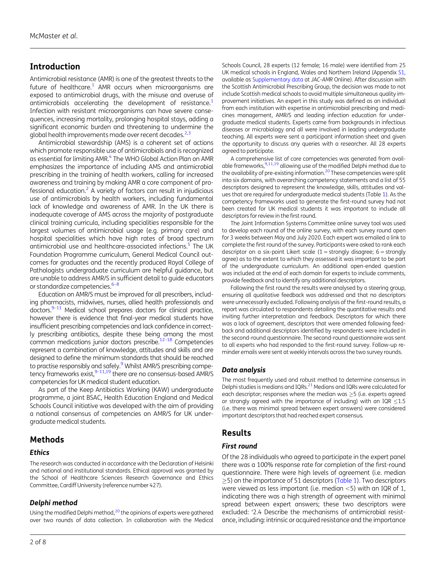# <span id="page-1-0"></span>Introduction

Antimicrobial resistance (AMR) is one of the greatest threats to the future of healthcare.<sup>[1](#page-6-0)</sup> AMR occurs when microorganisms are exposed to antimicrobial drugs, with the misuse and overuse of antimicrobials acceleratina the development of resistance. $1$ Infection with resistant microorganisms can have severe consequences, increasing mortality, prolonging hospital stays, adding a significant economic burden and threatening to undermine the global health improvements made over recent decades. $^{2,3}$ 

Antimicrobial stewardship (AMS) is a coherent set of actions which promote responsible use of antimicrobials and is recognized as essential for limiting AMR.<sup>4</sup> The WHO Global Action Plan on AMR emphasizes the importance of including AMS and antimicrobial prescribing in the training of health workers, calling for increased awareness and training by making AMR a core component of professional education.<sup>2</sup> A variety of factors can result in injudicious use of antimicrobials by health workers, including fundamental lack of knowledge and awareness of AMR. In the UK there is inadequate coverage of AMS across the majority of postgraduate clinical training curricula, including specialities responsible for the largest volumes of antimicrobial usage (e.g. primary care) and hospital specialities which have high rates of broad spectrum antimicrobial use and healthcare-associated infections.<sup>[5](#page-6-0)</sup> The UK Foundation Programme curriculum, General Medical Council outcomes for graduates and the recently produced Royal College of Pathologists undergraduate curriculum are helpful guidance, but are unable to address AMR/S in sufficient detail to guide educators or standardize competencies.<sup>[6](#page-6-0)-[8](#page-6-0)</sup>

Education on AMR/S must be improved for all prescribers, including pharmacists, midwives, nurses, allied health professionals and doctors.<sup>9-11</sup> Medical school prepares doctors for clinical practice, however there is evidence that final-year medical students have insufficient prescribing competencies and lack confidence in correctly prescribing antibiotics, despite these being among the most common medications junior doctors prescribe[.12](#page-6-0)–[18](#page-7-0) Competencies represent a combination of knowledge, attitudes and skills and are designed to define the minimum standards that should be reached to practise responsibly and safely.<sup>9</sup> Whilst AMR/S prescribing competency frameworks exist,  $9-11,19$  $9-11,19$  there are no consensus-based AMR/S competencies for UK medical student education.

As part of the Keep Antibiotics Working (KAW) undergraduate programme, a joint BSAC, Health Education England and Medical Schools Council initiative was developed with the aim of providing a national consensus of competencies on AMR/S for UK undergraduate medical students.

# Methods

#### **Ethics**

The research was conducted in accordance with the Declaration of Helsinki and national and institutional standards. Ethical approval was granted by the School of Healthcare Sciences Research Governance and Ethics Committee, Cardiff University (reference number 427).

#### Delphi method

Using the modified Delphi method,<sup>[20](#page-7-0)</sup> the opinions of experts were gathered over two rounds of data collection. In collaboration with the Medical

Schools Council, 28 experts (12 female; 16 male) were identified from 25 UK medical schools in England, Wales and Northern Ireland (Appendix [S1](http://academic.oup.com/jacamr/article-lookup/doi/10.1093/jacamr/dlaa096#supplementary-data), available as [Supplementary data](http://academic.oup.com/jacamr/article-lookup/doi/10.1093/jacamr/dlaa096#supplementary-data) at JAC-AMR Online). After discussion with the Scottish Antimicrobial Prescribing Group, the decision was made to not include Scottish medical schools to avoid multiple simultaneous quality improvement initiatives. An expert in this study was defined as an individual from each institution with expertise in antimicrobial prescribing and medicines management, AMR/S and leading infection education for undergraduate medical students. Experts came from backgrounds in infectious diseases or microbiology and all were involved in leading undergraduate teaching. All experts were sent a participant information sheet and given the opportunity to discuss any queries with a researcher. All 28 experts agreed to participate.

A comprehensive list of core competencies was generated from avail-able frameworks, <sup>9,[11](#page-6-0),[19](#page-7-0)</sup> allowing use of the modified Delphi method due to the availability of pre-existing information.<sup>[20](#page-7-0)</sup> These competencies were split into six domains, with overarching competency statements and a list of 55 descriptors designed to represent the knowledge, skills, attitudes and values that are required for undergraduate medical students (Table [1\)](#page-2-0). As the competency frameworks used to generate the first-round survey had not been created for UK medical students it was important to include all descriptors for review in the first round.

The Joint Information Systems Committee online survey tool was used to develop each round of the online survey, with each survey round open for 3 weeks between May and July 2020. Each expert was emailed a link to complete the first round of the survey. Participants were asked to rank each descriptor on a six-point Likert scale  $(1 =$  strongly disagree; 6 = strongly agree) as to the extent to which they assessed it was important to be part of the undergraduate curriculum. An additional open-ended question was included at the end of each domain for experts to include comments, provide feedback and to identify any additional descriptors.

Following the first round the results were analysed by a steering group, ensuring all qualitative feedback was addressed and that no descriptors were unnecessarily excluded. Following analysis of the first-round results, a report was circulated to respondents detailing the quantitative results and inviting further interpretation and feedback. Descriptors for which there was a lack of agreement, descriptors that were amended following feedback and additional descriptors identified by respondents were included in the second-round questionnaire. The second-round questionnaire was sent to all experts who had responded to the first-round survey. Follow-up reminder emails were sent at weekly intervals across the two survey rounds.

#### Data analysis

The most frequently used and robust method to determine consensus in Delphi studies is medians and IQRs.<sup>[21](#page-7-0)</sup> Medians and IQRs were calculated for each descriptor; responses where the median was  $\geq$ 5 (i.e. experts agreed or strongly agreed with the importance of including) with an IQR  $<$ 1.5 (i.e. there was minimal spread between expert answers) were considered important descriptors that had reached expert consensus.

# Results

#### First round

Of the 28 individuals who agreed to participate in the expert panel there was a 100% response rate for completion of the first-round questionnaire. There were high levels of agreement (i.e. median  $\ge$ 5) on the importance of 51 descriptors [\(Table 1](#page-2-0)). Two descriptors were viewed as less important (i.e. median  $<$  5) with an IQR of 1, indicating there was a high strength of agreement with minimal spread between expert answers; these two descriptors were excluded: '2.4 Describe the mechanisms of antimicrobial resistance, including: intrinsic or acquired resistance and the importance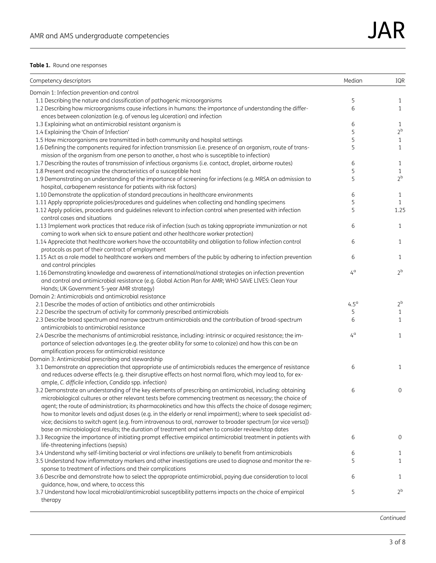<span id="page-2-0"></span>

| Competency descriptors                                                                                                                                                                | Median      | IQR               |
|---------------------------------------------------------------------------------------------------------------------------------------------------------------------------------------|-------------|-------------------|
| Domain 1: Infection prevention and control                                                                                                                                            |             |                   |
| 1.1 Describing the nature and classification of pathogenic microorganisms                                                                                                             | 5           | 1                 |
| 1.2 Describing how microorganisms cause infections in humans: the importance of understanding the differ-<br>ences between colonization (e.g. of venous leg ulceration) and infection | 6           | $\mathbf{1}$      |
| 1.3 Explaining what an antimicrobial resistant organism is                                                                                                                            | 6           | 1                 |
| 1.4 Explaining the 'Chain of Infection'                                                                                                                                               | 5           | $2^b$             |
| 1.5 How microorganisms are transmitted in both community and hospital settings                                                                                                        | 5           | $\mathbf{1}$      |
| 1.6 Defining the components required for infection transmission (i.e. presence of an organism, route of trans-                                                                        | 5           | $\mathbf{1}$      |
| mission of the organism from one person to another, a host who is susceptible to infection)                                                                                           |             |                   |
| 1.7 Describing the routes of transmission of infectious organisms (i.e. contact, droplet, airborne routes)                                                                            | 6           |                   |
| 1.8 Present and recognize the characteristics of a susceptible host                                                                                                                   | 5           | 1<br>$\mathbf{1}$ |
|                                                                                                                                                                                       | 5           | 2 <sup>b</sup>    |
| 1.9 Demonstrating an understanding of the importance of screening for infections (e.g. MRSA on admission to                                                                           |             |                   |
| hospital, carbapenem resistance for patients with risk factors)<br>1.10 Demonstrate the application of standard precautions in healthcare environments                                |             | $\mathbf{1}$      |
|                                                                                                                                                                                       | 6<br>5      | $\mathbf{1}$      |
| 1.11 Apply appropriate policies/procedures and guidelines when collecting and handling specimens                                                                                      |             | 1.25              |
| 1.12 Apply policies, procedures and guidelines relevant to infection control when presented with infection<br>control cases and situations                                            | 5           |                   |
| 1.13 Implement work practices that reduce risk of infection (such as taking appropriate immunization or not                                                                           | 6           | $\mathbf{1}$      |
| coming to work when sick to ensure patient and other healthcare worker protection)                                                                                                    |             |                   |
| 1.14 Appreciate that healthcare workers have the accountability and obligation to follow infection control                                                                            | 6           | $\mathbf{1}$      |
| protocols as part of their contract of employment                                                                                                                                     |             |                   |
| 1.15 Act as a role model to healthcare workers and members of the public by adhering to infection prevention                                                                          | 6           | 1                 |
|                                                                                                                                                                                       |             |                   |
| and control principles<br>1.16 Demonstrating knowledge and awareness of international/national strategies on infection prevention                                                     | $4^{\circ}$ | 2 <sup>b</sup>    |
| and control and antimicrobial resistance (e.g. Global Action Plan for AMR; WHO SAVE LIVES: Clean Your                                                                                 |             |                   |
| Hands; UK Government 5-year AMR strategy)                                                                                                                                             |             |                   |
| Domain 2: Antimicrobials and antimicrobial resistance                                                                                                                                 |             |                   |
| 2.1 Describe the modes of action of antibiotics and other antimicrobials                                                                                                              | $4.5^\circ$ | 2 <sup>b</sup>    |
|                                                                                                                                                                                       |             |                   |
| 2.2 Describe the spectrum of activity for commonly prescribed antimicrobials                                                                                                          | 5<br>6      | $\mathbf{1}$<br>1 |
| 2.3 Describe broad spectrum and narrow spectrum antimicrobials and the contribution of broad-spectrum<br>antimicrobials to antimicrobial resistance                                   |             |                   |
|                                                                                                                                                                                       | $4^{\circ}$ | $\mathbf{1}$      |
| 2.4 Describe the mechanisms of antimicrobial resistance, including: intrinsic or acquired resistance; the im-                                                                         |             |                   |
| portance of selection advantages (e.g. the greater ability for some to colonize) and how this can be an                                                                               |             |                   |
| amplification process for antimicrobial resistance                                                                                                                                    |             |                   |
| Domain 3: Antimicrobial prescribing and stewardship                                                                                                                                   | 6           |                   |
| 3.1 Demonstrate an appreciation that appropriate use of antimicrobials reduces the emergence of resistance                                                                            |             | $\mathbf{1}$      |
| and reduces adverse effects (e.g. their disruptive effects on host normal flora, which may lead to, for ex-                                                                           |             |                   |
| ample, C. difficile infection, Candida spp. infection)                                                                                                                                |             |                   |
| 3.2 Demonstrate an understanding of the key elements of prescribing an antimicrobial, including: obtaining                                                                            | 6           | $\mathbf 0$       |
| microbiological cultures or other relevant tests before commencing treatment as necessary; the choice of                                                                              |             |                   |
| agent; the route of administration; its pharmacokinetics and how this affects the choice of dosage regimen;                                                                           |             |                   |
| how to monitor levels and adjust doses (e.g. in the elderly or renal impairment); where to seek specialist ad-                                                                        |             |                   |
| vice; decisions to switch agent (e.g. from intravenous to oral, narrower to broader spectrum [or vice versa])                                                                         |             |                   |
| base on microbiological results; the duration of treatment and when to consider review/stop dates                                                                                     |             |                   |
| 3.3 Recognize the importance of initiating prompt effective empirical antimicrobial treatment in patients with<br>life-threatening infections (sepsis)                                | 6           | 0                 |
| 3.4 Understand why self-limiting bacterial or viral infections are unlikely to benefit from antimicrobials                                                                            | 6           | 1                 |
| 3.5 Understand how inflammatory markers and other investigations are used to diagnose and monitor the re-                                                                             | 5           | 1                 |
| sponse to treatment of infections and their complications                                                                                                                             |             |                   |
| 3.6 Describe and demonstrate how to select the appropriate antimicrobial, paying due consideration to local                                                                           | 6           | $\mathbf{1}$      |
| guidance, how, and where, to access this                                                                                                                                              |             |                   |
| 3.7 Understand how local microbial/antimicrobial susceptibility patterns impacts on the choice of empirical                                                                           | 5           | 2 <sup>b</sup>    |
| therapy                                                                                                                                                                               |             |                   |

Continued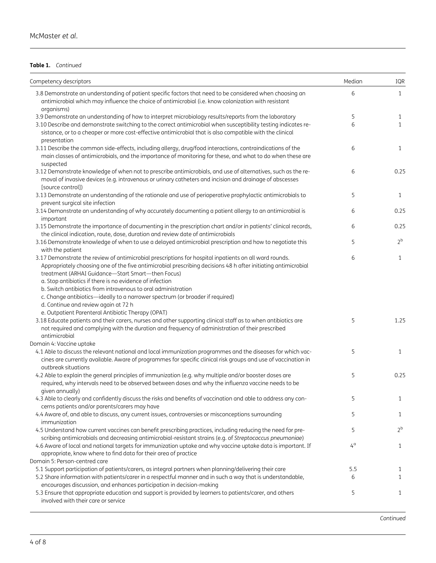$\overline{a}$ 

#### Table 1. Continued

| Competency descriptors                                                                                                                                                                                                                                                                                                                                                                                                                                                                                                              | Median      | IQR            |
|-------------------------------------------------------------------------------------------------------------------------------------------------------------------------------------------------------------------------------------------------------------------------------------------------------------------------------------------------------------------------------------------------------------------------------------------------------------------------------------------------------------------------------------|-------------|----------------|
| 3.8 Demonstrate an understanding of patient specific factors that need to be considered when choosing an<br>antimicrobial which may influence the choice of antimicrobial (i.e. know colonization with resistant<br>organisms)                                                                                                                                                                                                                                                                                                      | 6           | $\mathbf{1}$   |
| 3.9 Demonstrate an understanding of how to interpret microbiology results/reports from the laboratory                                                                                                                                                                                                                                                                                                                                                                                                                               | 5           | $\mathbf{1}$   |
| 3.10 Describe and demonstrate switching to the correct antimicrobial when susceptibility testing indicates re-<br>sistance, or to a cheaper or more cost-effective antimicrobial that is also compatible with the clinical<br>presentation                                                                                                                                                                                                                                                                                          | 6           | $\mathbf{1}$   |
| 3.11 Describe the common side-effects, including allergy, drug/food interactions, contraindications of the<br>main classes of antimicrobials, and the importance of monitoring for these, and what to do when these are<br>suspected                                                                                                                                                                                                                                                                                                | 6           | $\mathbf{1}$   |
| 3.12 Demonstrate knowledge of when not to prescribe antimicrobials, and use of alternatives, such as the re-<br>moval of invasive devices (e.g. intravenous or urinary catheters and incision and drainage of abscesses<br>[source control])                                                                                                                                                                                                                                                                                        | 6           | 0.25           |
| 3.13 Demonstrate an understanding of the rationale and use of perioperative prophylactic antimicrobials to<br>prevent surgical site infection                                                                                                                                                                                                                                                                                                                                                                                       | 5           | $\mathbf{1}$   |
| 3.14 Demonstrate an understanding of why accurately documenting a patient allergy to an antimicrobial is<br>important                                                                                                                                                                                                                                                                                                                                                                                                               | 6           | 0.25           |
| 3.15 Demonstrate the importance of documenting in the prescription chart and/or in patients' clinical records,<br>the clinical indication, route, dose, duration and review date of antimicrobials                                                                                                                                                                                                                                                                                                                                  | 6           | 0.25           |
| 3.16 Demonstrate knowledge of when to use a delayed antimicrobial prescription and how to negotiate this<br>with the patient                                                                                                                                                                                                                                                                                                                                                                                                        | 5           | 2 <sup>b</sup> |
| 3.17 Demonstrate the review of antimicrobial prescriptions for hospital inpatients on all ward rounds.<br>Appropriately choosing one of the five antimicrobial prescribing decisions 48 h after initiating antimicrobial<br>treatment (ARHAI Guidance-Start Smart-then Focus)<br>a. Stop antibiotics if there is no evidence of infection<br>b. Switch antibiotics from intravenous to oral administration<br>c. Change antibiotics-ideally to a narrower spectrum (or broader if required)<br>d. Continue and review again at 72 h | 6           | $\mathbf{1}$   |
| e. Outpatient Parenteral Antibiotic Therapy (OPAT)<br>3.18 Educate patients and their carers, nurses and other supporting clinical staff as to when antibiotics are<br>not required and complying with the duration and frequency of administration of their prescribed<br>antimicrobial                                                                                                                                                                                                                                            | 5           | 1.25           |
| Domain 4: Vaccine uptake                                                                                                                                                                                                                                                                                                                                                                                                                                                                                                            |             |                |
| 4.1 Able to discuss the relevant national and local immunization programmes and the diseases for which vac-<br>cines are currently available. Aware of programmes for specific clinical risk groups and use of vaccination in<br>outbreak situations                                                                                                                                                                                                                                                                                | 5           | $\mathbf{1}$   |
| 4.2 Able to explain the general principles of immunization (e.g. why multiple and/or booster doses are<br>required, why intervals need to be observed between doses and why the influenza vaccine needs to be<br>given annually)                                                                                                                                                                                                                                                                                                    | 5           | 0.25           |
| 4.3 Able to clearly and confidently discuss the risks and benefits of vaccination and able to address any con-<br>cerns patients and/or parents/carers may have                                                                                                                                                                                                                                                                                                                                                                     | 5           | $\mathbf{1}$   |
| 4.4 Aware of, and able to discuss, any current issues, controversies or misconceptions surrounding<br>immunization                                                                                                                                                                                                                                                                                                                                                                                                                  | 5           | $\mathbf{1}$   |
| 4.5 Understand how current vaccines can benefit prescribing practices, including reducing the need for pre-<br>scribing antimicrobials and decreasing antimicrobial-resistant strains (e.g. of Streptococcus pneumoniae)                                                                                                                                                                                                                                                                                                            | 5           | 2 <sup>b</sup> |
| 4.6 Aware of local and national targets for immunization uptake and why vaccine uptake data is important. If<br>appropriate, know where to find data for their area of practice                                                                                                                                                                                                                                                                                                                                                     | $4^{\circ}$ | 1              |
| Domain 5: Person-centred care                                                                                                                                                                                                                                                                                                                                                                                                                                                                                                       |             |                |
| 5.1 Support participation of patients/carers, as integral partners when planning/delivering their care<br>5.2 Share information with patients/carer in a respectful manner and in such a way that is understandable,                                                                                                                                                                                                                                                                                                                | 5.5<br>6    | 1<br>1         |
| encourages discussion, and enhances participation in decision-making<br>5.3 Ensure that appropriate education and support is provided by learners to patients/carer, and others<br>involved with their care or service                                                                                                                                                                                                                                                                                                              | 5           | $\mathbf{1}$   |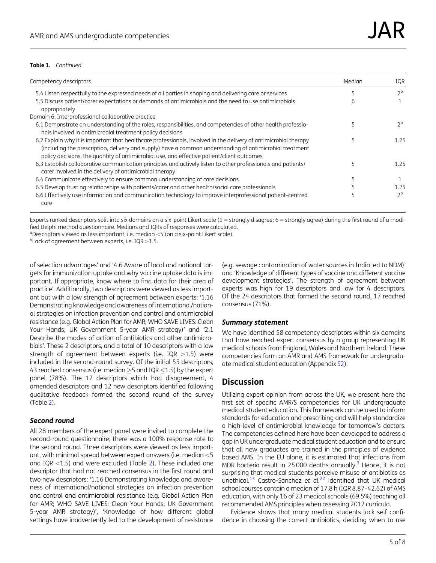#### <span id="page-4-0"></span>Table 1. Continued

| Competency descriptors                                                                                                                                                                                                                                                                                                     | Median | IOR            |
|----------------------------------------------------------------------------------------------------------------------------------------------------------------------------------------------------------------------------------------------------------------------------------------------------------------------------|--------|----------------|
| 5.4 Listen respectfully to the expressed needs of all parties in shaping and delivering care or services                                                                                                                                                                                                                   |        | $\neg b$       |
| 5.5 Discuss patient/carer expectations or demands of antimicrobials and the need to use antimicrobials<br>appropriately                                                                                                                                                                                                    | b      |                |
| Domain 6: Interprofessional collaborative practice                                                                                                                                                                                                                                                                         |        |                |
| 6.1 Demonstrate an understanding of the roles, responsibilities, and competencies of other health professio-<br>nals involved in antimicrobial treatment policy decisions                                                                                                                                                  |        | ገ <sup>b</sup> |
| 6.2 Explain why it is important that healthcare professionals, involved in the delivery of antimicrobial therapy<br>(including the prescription, delivery and supply) have a common understanding of antimicrobial treatment<br>policy decisions, the quantity of antimicrobial use, and effective patient/client outcomes |        | 1.25           |
| 6.3 Establish collaborative communication principles and actively listen to other professionals and patients/<br>carer involved in the delivery of antimicrobial therapy                                                                                                                                                   |        | 1.25           |
| 6.4 Communicate effectively to ensure common understanding of care decisions                                                                                                                                                                                                                                               |        |                |
| 6.5 Develop trusting relationships with patients/carer and other health/social care professionals                                                                                                                                                                                                                          |        | 1.25           |
| 6.6 Effectively use information and communication technology to improve interprofessional patient-centred<br>care                                                                                                                                                                                                          |        | ን <sub>b</sub> |

Experts ranked descriptors split into six domains on a six-point Likert scale  $(1 =$ strongly disagree;  $6 =$ strongly agree) during the first round of a modified Delphi method questionnaire. Medians and IQRs of responses were calculated.

<sup>a</sup> Descriptors viewed as less important, i.e. median <5 (on a six-point Likert scale).<br><sup>b</sup>l ack of gareement between experts, i.e. JOP  $\times$ 1.5

 $b$ Lack of agreement between experts, i.e. IQR  $>1.5$ .

of selection advantages' and '4.6 Aware of local and national targets for immunization uptake and why vaccine uptake data is important. If appropriate, know where to find data for their area of practice'. Additionally, two descriptors were viewed as less important but with a low strength of agreement between experts: '1.16 Demonstrating knowledge and awareness of international/national strategies on infection prevention and control and antimicrobial resistance (e.g. Global Action Plan for AMR; WHO SAVE LIVES: Clean Your Hands; UK Government 5-year AMR strategy)' and '2.1 Describe the modes of action of antibiotics and other antimicrobials'. These 2 descriptors, and a total of 10 descriptors with a low strength of agreement between experts (i.e. IQR  $>1.5$ ) were included in the second-round survey. Of the initial 55 descriptors, 43 reached consensus (i.e. median  $\geq$ 5 and IQR  $\leq$ 1.5) by the expert panel (78%). The 12 descriptors which had disagreement, 4 amended descriptors and 12 new descriptors identified following qualitative feedback formed the second round of the survey (Table [2\)](#page-5-0).

#### Second round

All 28 members of the expert panel were invited to complete the second-round questionnaire; there was a 100% response rate to the second round. Three descriptors were viewed as less important, with minimal spread between expert answers (i.e. median  $<$  5 and IQR  $<$ 1.5) and were excluded (Table [2](#page-5-0)). These included one descriptor that had not reached consensus in the first round and two new descriptors: '1.16 Demonstrating knowledge and awareness of international/national strategies on infection prevention and control and antimicrobial resistance (e.g. Global Action Plan for AMR; WHO SAVE LIVES: Clean Your Hands; UK Government 5-year AMR strategy)', 'Knowledge of how different global settings have inadvertently led to the development of resistance

(e.g. sewage contamination of water sources in India led to NDM)' and 'Knowledge of different types of vaccine and different vaccine development strategies'. The strength of agreement between experts was high for 19 descriptors and low for 4 descriptors. Of the 24 descriptors that formed the second round, 17 reached consensus (71%).

#### Summary statement

We have identified 58 competency descriptors within six domains that have reached expert consensus by a group representing UK medical schools from England, Wales and Northern Ireland. These competencies form an AMR and AMS framework for undergraduate medical student education (Appendix [S2\)](http://academic.oup.com/jacamr/article-lookup/doi/10.1093/jacamr/dlaa096#supplementary-data).

# **Discussion**

Utilizing expert opinion from across the UK, we present here the first set of specific AMR/S competencies for UK undergraduate medical student education. This framework can be used to inform standards for education and prescribing and will help standardize a high-level of antimicrobial knowledge for tomorrow's doctors. The competencies defined here have been developed to address a gap in UK undergraduate medical student education and to ensure that all new graduates are trained in the principles of evidence based AMS. In the EU alone, it is estimated that infections from MDR bacteria result in 25000 deaths annually.<sup>3</sup> Hence, it is not surprising that medical students perceive misuse of antibiotics as unethical.<sup>[13](#page-7-0)</sup> Castro-Sánchez et al.<sup>[22](#page-7-0)</sup> identified that UK medical school courses contain a median of 17.8 h (IQR 8.87–42.62) of AMS education, with only 16 of 23 medical schools (69.5%) teaching all recommended AMS principles when assessing 2012 curricula.

Evidence shows that many medical students lack self confidence in choosing the correct antibiotics, deciding when to use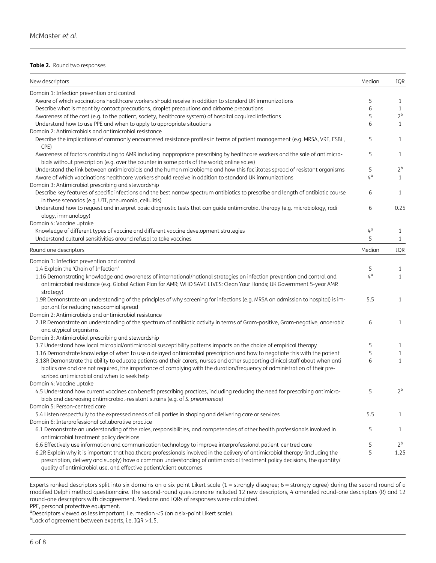#### <span id="page-5-0"></span>Table 2. Round two responses

| New descriptors                                                                                                                                                                                                                                                                                                                     | Median      | IQR            |
|-------------------------------------------------------------------------------------------------------------------------------------------------------------------------------------------------------------------------------------------------------------------------------------------------------------------------------------|-------------|----------------|
| Domain 1: Infection prevention and control                                                                                                                                                                                                                                                                                          |             |                |
| Aware of which vaccinations healthcare workers should receive in addition to standard UK immunizations                                                                                                                                                                                                                              | 5           | 1              |
| Describe what is meant by contact precautions, droplet precautions and airborne precautions                                                                                                                                                                                                                                         | 6           | $\mathbf{1}$   |
| Awareness of the cost (e.g. to the patient, society, healthcare system) of hospital acquired infections                                                                                                                                                                                                                             | 5           | 2 <sup>b</sup> |
| Understand how to use PPE and when to apply to appropriate situations                                                                                                                                                                                                                                                               | 6           | $\mathbf{1}$   |
| Domain 2: Antimicrobials and antimicrobial resistance                                                                                                                                                                                                                                                                               |             |                |
| Describe the implications of commonly encountered resistance profiles in terms of patient management (e.g. MRSA, VRE, ESBL,<br>CPE)                                                                                                                                                                                                 | 5           | 1              |
| Awareness of factors contributing to AMR including inappropriate prescribing by healthcare workers and the sale of antimicro-<br>bials without prescription (e.g. over the counter in some parts of the world; online sales)                                                                                                        | 5           | 1              |
| Understand the link between antimicrobials and the human microbiome and how this facilitates spread of resistant organisms                                                                                                                                                                                                          | 5           | 2 <sup>b</sup> |
| Aware of which vaccinations healthcare workers should receive in addition to standard UK immunizations                                                                                                                                                                                                                              | $4^\circ$   | $\mathbf{1}$   |
| Domain 3: Antimicrobial prescribing and stewardship                                                                                                                                                                                                                                                                                 |             |                |
| Describe key features of specific infections and the best narrow spectrum antibiotics to prescribe and length of antibiotic course<br>in these scenarios (e.g. UTI, pneumonia, cellulitis)                                                                                                                                          | 6           | 1              |
| Understand how to request and interpret basic diagnostic tests that can guide antimicrobial therapy (e.g. microbiology, radi-<br>ology, immunology)                                                                                                                                                                                 | 6           | 0.25           |
| Domain 4: Vaccine uptake                                                                                                                                                                                                                                                                                                            |             |                |
| Knowledge of different types of vaccine and different vaccine development strategies                                                                                                                                                                                                                                                | $4^{\circ}$ | 1              |
| Understand cultural sensitivities around refusal to take vaccines                                                                                                                                                                                                                                                                   | 5           | $\mathbf{1}$   |
| Round one descriptors                                                                                                                                                                                                                                                                                                               | Median      | IQR            |
| Domain 1: Infection prevention and control                                                                                                                                                                                                                                                                                          |             |                |
| 1.4 Explain the 'Chain of Infection'                                                                                                                                                                                                                                                                                                | 5           | 1              |
| 1.16 Demonstrating knowledge and awareness of international/national strategies on infection prevention and control and<br>antimicrobial resistance (e.g. Global Action Plan for AMR; WHO SAVE LIVES: Clean Your Hands; UK Government 5-year AMR<br>strategy)                                                                       | $4^{\circ}$ | $\mathbf{1}$   |
| 1.9R Demonstrate an understanding of the principles of why screening for infections (e.g. MRSA on admission to hospital) is im-                                                                                                                                                                                                     | 5.5         | 1              |
| portant for reducing nosocomial spread                                                                                                                                                                                                                                                                                              |             |                |
| Domain 2: Antimicrobials and antimicrobial resistance                                                                                                                                                                                                                                                                               |             |                |
| 2.1R Demonstrate an understanding of the spectrum of antibiotic activity in terms of Gram-positive, Gram-negative, anaerobic<br>and atypical organisms.                                                                                                                                                                             | 6           | $\mathbf{1}$   |
| Domain 3: Antimicrobial prescribing and stewardship                                                                                                                                                                                                                                                                                 |             |                |
| 3.7 Understand how local microbial/antimicrobial susceptibility patterns impacts on the choice of empirical therapy                                                                                                                                                                                                                 | 5           | $\mathbf{1}$   |
| 3.16 Demonstrate knowledge of when to use a delayed antimicrobial prescription and how to negotiate this with the patient                                                                                                                                                                                                           | 5           | $\mathbf{1}$   |
| 3.18R Demonstrate the ability to educate patients and their carers, nurses and other supporting clinical staff about when anti-<br>biotics are and are not required, the importance of complying with the duration/frequency of administration of their pre-<br>scribed antimicrobial and when to seek help                         | 6           | $\mathbf{1}$   |
| Domain 4: Vaccine uptake                                                                                                                                                                                                                                                                                                            |             |                |
| 4.5 Understand how current vaccines can benefit prescribing practices, including reducing the need for prescribing antimicro-                                                                                                                                                                                                       | 5           | 2 <sup>b</sup> |
| bials and decreasing antimicrobial-resistant strains (e.g. of S. pneumoniae)                                                                                                                                                                                                                                                        |             |                |
| Domain 5: Person-centred care                                                                                                                                                                                                                                                                                                       |             |                |
| 5.4 Listen respectfully to the expressed needs of all parties in shaping and delivering care or services                                                                                                                                                                                                                            | 5.5         | $\mathbf{1}$   |
| Domain 6: Interprofessional collaborative practice                                                                                                                                                                                                                                                                                  |             |                |
| 6.1 Demonstrate an understanding of the roles, responsibilities, and competencies of other health professionals involved in<br>antimicrobial treatment policy decisions                                                                                                                                                             | 5           | 1              |
| 6.6 Effectively use information and communication technology to improve interprofessional patient-centred care                                                                                                                                                                                                                      | 5           | $2^{\rm b}$    |
| 6.2R Explain why it is important that healthcare professionals involved in the delivery of antimicrobial therapy (including the<br>prescription, delivery and supply) have a common understanding of antimicrobial treatment policy decisions, the quantity/<br>quality of antimicrobial use, and effective patient/client outcomes | 5           | 1.25           |

Experts ranked descriptors split into six domains on a six-point Likert scale (1 = strongly disagree; 6 = strongly agree) during the second round of a modified Delphi method questionnaire. The second-round questionnaire included 12 new descriptors, 4 amended round-one descriptors (R) and 12 round-one descriptors with disagreement. Medians and IQRs of responses were calculated.

PPE, personal protective equipment.

<sup>a</sup> Descriptors viewed as less important, i.e. median < 5 (on a six-point Likert scale).<br><sup>b</sup>l ack of gareement between experts, i.e. JOP  $\geq 1.5$ 

 $b$ Lack of agreement between experts, i.e. IQR > 1.5.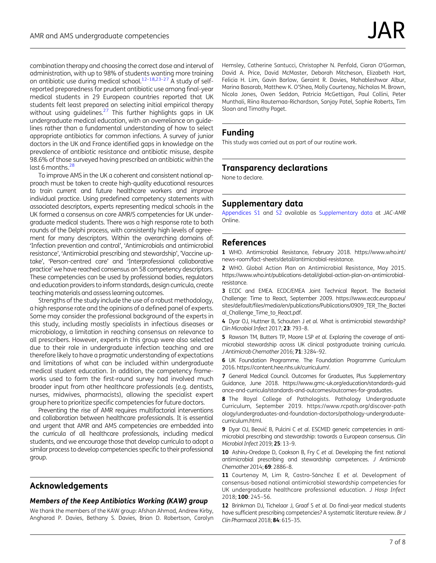<span id="page-6-0"></span>combination therapy and choosing the correct dose and interval of administration, with up to 98% of students wanting more training on antibiotic use during medical school.<sup>12–[18](#page-7-0),[23](#page-7-0)–[27](#page-7-0)</sup> A study of selfreported preparedness for prudent antibiotic use among final-year medical students in 29 European countries reported that UK students felt least prepared on selecting initial empirical therapy without using guidelines. $27$  This further highlights gaps in UK undergraduate medical education, with an overreliance on guidelines rather than a fundamental understanding of how to select appropriate antibiotics for common infections. A survey of junior doctors in the UK and France identified gaps in knowledge on the prevalence of antibiotic resistance and antibiotic misuse, despite 98.6% of those surveyed having prescribed an antibiotic within the last 6 months. $^{28}$ 

To improve AMS in the UK a coherent and consistent national approach must be taken to create high-quality educational resources to train current and future healthcare workers and improve individual practice. Using predefined competency statements with associated descriptors, experts representing medical schools in the UK formed a consensus on core AMR/S competencies for UK undergraduate medical students. There was a high response rate to both rounds of the Delphi process, with consistently high levels of agreement for many descriptors. Within the overarching domains of: 'Infection prevention and control', 'Antimicrobials and antimicrobial resistance', 'Antimicrobial prescribing and stewardship', 'Vaccine uptake', 'Person-centred care' and 'Interprofessional collaborative practice' we have reached consensus on 58 competency descriptors. These competencies can be used by professional bodies, regulators and education providers to inform standards, design curricula, create teaching materials and assess learning outcomes.

Strengths of the study include the use of a robust methodology, a high response rate and the opinions of a defined panel of experts. Some may consider the professional background of the experts in this study, including mostly specialists in infectious diseases or microbiology, a limitation in reaching consensus on relevance to all prescribers. However, experts in this group were also selected due to their role in undergraduate infection teaching and are therefore likely to have a pragmatic understanding of expectations and limitations of what can be included within undergraduate medical student education. In addition, the competency frameworks used to form the first-round survey had involved much broader input from other healthcare professionals (e.g. dentists, nurses, midwives, pharmacists), allowing the specialist expert group here to prioritize specific competencies for future doctors.

Preventing the rise of AMR requires multifactorial interventions and collaboration between healthcare professionals. It is essential and urgent that AMR and AMS competencies are embedded into the curricula of all healthcare professionals, including medical students, and we encourage those that develop curricula to adopt a similar process to develop competencies specific to their professional group.

# Acknowledgements

#### Members of the Keep Antibiotics Working (KAW) group

We thank the members of the KAW group: Afshan Ahmad, Andrew Kirby, Angharad P. Davies, Bethany S. Davies, Brian D. Robertson, Carolyn

Hemsley, Catherine Santucci, Christopher N. Penfold, Ciaran O'Gorman, David A. Price, David McMaster, Deborah Mitcheson, Elizabeth Hart, Felicia H. Lim, Gavin Barlow, Geraint R. Davies, Mahableshwar Albur, Marina Basarab, Matthew K. O'Shea, Molly Courtenay, Nicholas M. Brown, Nicola Jones, Owen Seddon, Patricia McGettigan, Paul Collini, Peter Munthali, Riina Rautemaa-Richardson, Sanjay Patel, Sophie Roberts, Tim Sloan and Timothy Paget.

# Funding

This study was carried out as part of our routine work.

# Transparency declarations

None to declare.

# Supplementary data

[Appendices S1](http://academic.oup.com/jacamr/article-lookup/doi/10.1093/jacamr/dlaa096#supplementary-data) and [S2](http://academic.oup.com/jacamr/article-lookup/doi/10.1093/jacamr/dlaa096#supplementary-data) available as [Supplementary data](http://academic.oup.com/jacamr/article-lookup/doi/10.1093/jacamr/dlaa096#supplementary-data) at JAC-AMR Online.

### References

[1](#page-1-0) WHO. Antimicrobial Resistance, February 2018. [https://www.who.int/](https://www.who.int/news-room/fact-sheets/detail/antimicrobial-resistance) [news-room/fact-sheets/detail/antimicrobial-resistance](https://www.who.int/news-room/fact-sheets/detail/antimicrobial-resistance).

[2](#page-1-0) WHO. Global Action Plan on Antimicrobial Resistance, May 2015. [https://www.who.int/publications-detail/global-action-plan-on-antimicrobial](https://www.who.int/publications-detail/global-action-plan-on-antimicrobial-resistance)[resistance](https://www.who.int/publications-detail/global-action-plan-on-antimicrobial-resistance).

[3](#page-1-0) ECDC and EMEA. ECDC/EMEA Joint Technical Report. The Bacterial Challenge: Time to React, September 2009. [https://www.ecdc.europa.eu/](https://www.ecdc.europa.eu/sites/default/files/media/en/publications/Publications/0909_TER_The_Bacterial_Challenge_Time_to_React.pdf) [sites/default/files/media/en/publications/Publications/0909\\_TER\\_The\\_Bacteri](https://www.ecdc.europa.eu/sites/default/files/media/en/publications/Publications/0909_TER_The_Bacterial_Challenge_Time_to_React.pdf) [al\\_Challenge\\_Time\\_to\\_React.pdf.](https://www.ecdc.europa.eu/sites/default/files/media/en/publications/Publications/0909_TER_The_Bacterial_Challenge_Time_to_React.pdf)

[4](#page-1-0) Dyar OJ, Huttner B, Schouten J et al. What is antimicrobial stewardship? Clin Microbiol Infect 2017; 23: 793–8.

[5](#page-1-0) Rawson TM, Butters TP, Moore LSP et al. Exploring the coverage of antimicrobial stewardship across UK clinical postgraduate training curricula. J Antimicrob Chemother 2016; 71: 3284–92.

6 UK Foundation Programme. The Foundation Programme Curriculum 2016. [https://content.hee.nhs.uk/curriculum/.](https://content.hee.nhs.uk/curriculum/)

7 General Medical Council. Outcomes for Graduates, Plus Supplementary Guidance, June 2018. [https://www.gmc-uk.org/education/standards-guid](https://www.gmc-uk.org/education/standards-guidance-and-curricula/standards-and-outcomes/outcomes-for-graduates) [ance-and-curricula/standards-and-outcomes/outcomes-for-graduates](https://www.gmc-uk.org/education/standards-guidance-and-curricula/standards-and-outcomes/outcomes-for-graduates).

8 The Royal College of Pathologists. Pathology Undergraduate Curriculum, September 2019. [https://www.rcpath.org/discover-path](https://www.rcpath.org/discover-pathology/undergraduates-and-foundation-doctors/pathology-undergraduate-curriculum.html) [ology/undergraduates-and-foundation-doctors/pathology-undergraduate](https://www.rcpath.org/discover-pathology/undergraduates-and-foundation-doctors/pathology-undergraduate-curriculum.html)[curriculum.html.](https://www.rcpath.org/discover-pathology/undergraduates-and-foundation-doctors/pathology-undergraduate-curriculum.html)

[9](#page-1-0) Dyar OJ, Beović B, Pulcini C et al. ESCMID generic competencies in antimicrobial prescribing and stewardship: towards a European consensus. Clin Microbiol Infect 2019; 25: 13–9.

10 Ashiru-Oredope D, Cookson B, Fry C et al. Developing the first national antimicrobial prescribing and stewardship competences. J Antimicrob Chemother 2014; 69: 2886–8.

[11](#page-1-0) Courtenay M, Lim R, Castro-Sánchez E et al. Development of consensus-based national antimicrobial stewardship competencies for UK undergraduate healthcare professional education. J Hosp Infect 2018; 100: 245–56.

12 Brinkman DJ, Tichelaar J, Graaf S et al. Do final-year medical students have sufficient prescribing competencies? A systematic literature review. Br J Clin Pharmacol 2018; 84: 615–35.